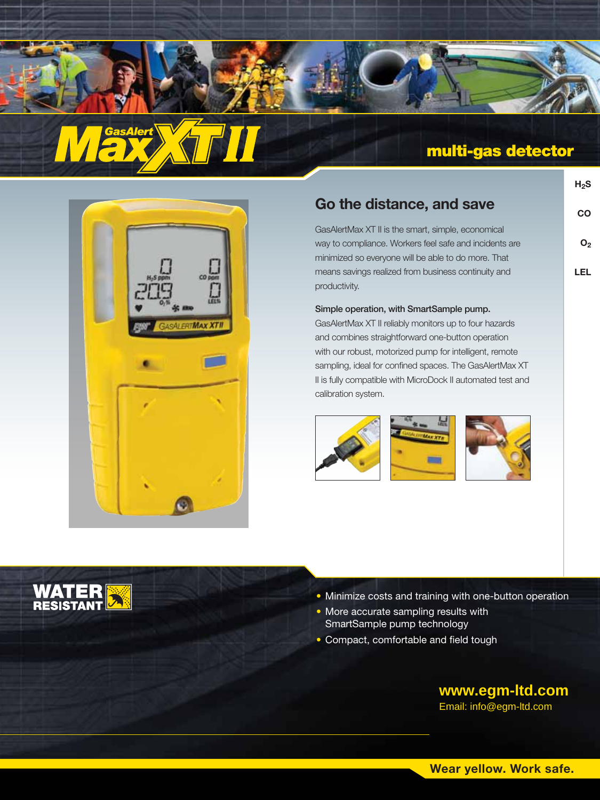



**H2S**

**CO**

**O2**

**LEL**

| $\begin{picture}(120,110) \put(0,0){\line(1,0){10}} \put(15,0){\line(1,0){10}} \put(15,0){\line(1,0){10}} \put(15,0){\line(1,0){10}} \put(15,0){\line(1,0){10}} \put(15,0){\line(1,0){10}} \put(15,0){\line(1,0){10}} \put(15,0){\line(1,0){10}} \put(15,0){\line(1,0){10}} \put(15,0){\line(1,0){10}} \put(15,0){\line(1,0){10}} \put(15,0){\line$ | $\begin{matrix} 1 \\ 0 \\ 0 \\ 0 \end{matrix}$ |
|-----------------------------------------------------------------------------------------------------------------------------------------------------------------------------------------------------------------------------------------------------------------------------------------------------------------------------------------------------|------------------------------------------------|
| <b>EWY</b>                                                                                                                                                                                                                                                                                                                                          | <b>GASALERTMAX XTII</b>                        |
|                                                                                                                                                                                                                                                                                                                                                     |                                                |
|                                                                                                                                                                                                                                                                                                                                                     |                                                |
|                                                                                                                                                                                                                                                                                                                                                     |                                                |

**WATER**<br>RESISTANT

# **Go the distance, and save**

GasAlertMax XT II is the smart, simple, economical way to compliance. Workers feel safe and incidents are minimized so everyone will be able to do more. That means savings realized from business continuity and productivity.

## Simple operation, with SmartSample pump.

GasAlertMax XT II reliably monitors up to four hazards and combines straightforward one-button operation with our robust, motorized pump for intelligent, remote sampling, ideal for confined spaces. The GasAlertMax XT II is fully compatible with MicroDock II automated test and calibration system.







- Minimize costs and training with one-button operation
- More accurate sampling results with SmartSample pump technology
- Compact, comfortable and field tough

**www.egm-ltd.com**

Email: info@egm-ltd.com